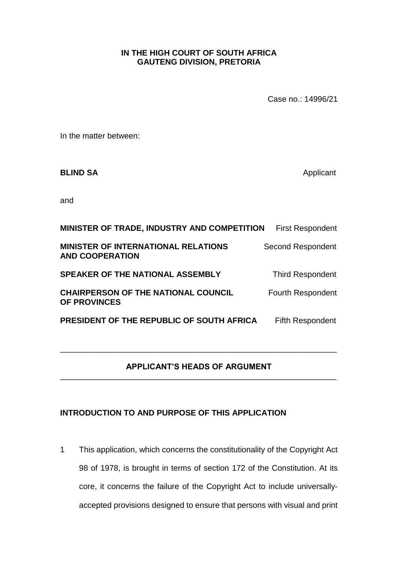## **IN THE HIGH COURT OF SOUTH AFRICA GAUTENG DIVISION, PRETORIA**

Case no.: 14996/21

In the matter between:

**BLIND SA** Applicant

and

| MINISTER OF TRADE, INDUSTRY AND COMPETITION                          | <b>First Respondent</b>  |
|----------------------------------------------------------------------|--------------------------|
| <b>MINISTER OF INTERNATIONAL RELATIONS</b><br><b>AND COOPERATION</b> | <b>Second Respondent</b> |
| <b>SPEAKER OF THE NATIONAL ASSEMBLY</b>                              | <b>Third Respondent</b>  |
| <b>CHAIRPERSON OF THE NATIONAL COUNCIL</b><br><b>OF PROVINCES</b>    | <b>Fourth Respondent</b> |
| PRESIDENT OF THE REPUBLIC OF SOUTH AFRICA                            | <b>Fifth Respondent</b>  |

## **APPLICANT'S HEADS OF ARGUMENT** \_\_\_\_\_\_\_\_\_\_\_\_\_\_\_\_\_\_\_\_\_\_\_\_\_\_\_\_\_\_\_\_\_\_\_\_\_\_\_\_\_\_\_\_\_\_\_\_\_\_\_\_\_\_\_\_\_\_\_\_\_\_

\_\_\_\_\_\_\_\_\_\_\_\_\_\_\_\_\_\_\_\_\_\_\_\_\_\_\_\_\_\_\_\_\_\_\_\_\_\_\_\_\_\_\_\_\_\_\_\_\_\_\_\_\_\_\_\_\_\_\_\_\_\_

## **INTRODUCTION TO AND PURPOSE OF THIS APPLICATION**

1 This application, which concerns the constitutionality of the Copyright Act 98 of 1978, is brought in terms of section 172 of the Constitution. At its core, it concerns the failure of the Copyright Act to include universallyaccepted provisions designed to ensure that persons with visual and print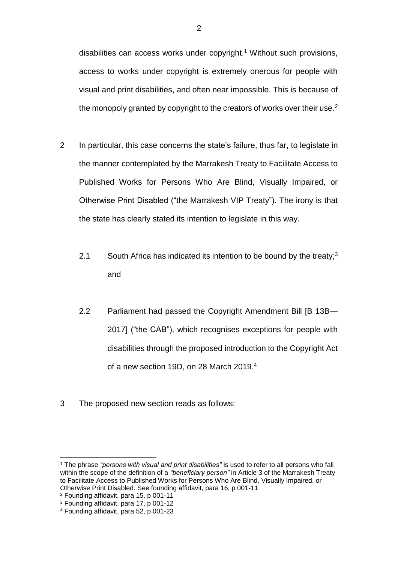disabilities can access works under copyright. <sup>1</sup> Without such provisions, access to works under copyright is extremely onerous for people with visual and print disabilities, and often near impossible. This is because of the monopoly granted by copyright to the creators of works over their use.<sup>2</sup>

- 2 In particular, this case concerns the state's failure, thus far, to legislate in the manner contemplated by the Marrakesh Treaty to Facilitate Access to Published Works for Persons Who Are Blind, Visually Impaired, or Otherwise Print Disabled ("the Marrakesh VIP Treaty"). The irony is that the state has clearly stated its intention to legislate in this way.
	- 2.1 South Africa has indicated its intention to be bound by the treaty;<sup>3</sup> and
	- 2.2 Parliament had passed the Copyright Amendment Bill IB 13B-2017] ("the CAB"), which recognises exceptions for people with disabilities through the proposed introduction to the Copyright Act of a new section 19D, on 28 March 2019. 4
- 3 The proposed new section reads as follows:

<sup>1</sup> The phrase *"persons with visual and print disabilities"* is used to refer to all persons who fall within the scope of the definition of a *"beneficiary person"* in Article 3 of the Marrakesh Treaty to Facilitate Access to Published Works for Persons Who Are Blind, Visually Impaired, or Otherwise Print Disabled. See founding affidavit, para 16, p 001-11

<sup>2</sup> Founding affidavit, para 15, p 001-11

<sup>3</sup> Founding affidavit, para 17, p 001-12

<sup>4</sup> Founding affidavit, para 52, p 001-23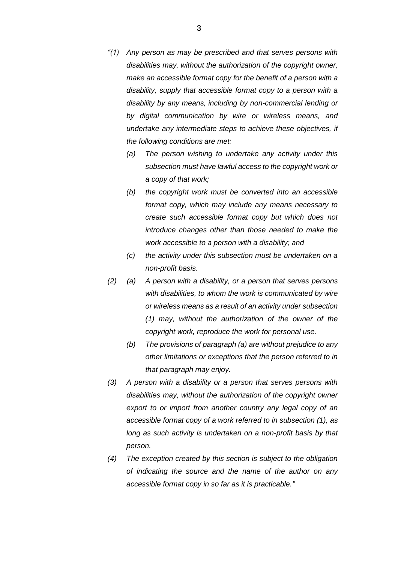- *"(1) Any person as may be prescribed and that serves persons with disabilities may, without the authorization of the copyright owner, make an accessible format copy for the benefit of a person with a disability, supply that accessible format copy to a person with a disability by any means, including by non-commercial lending or by digital communication by wire or wireless means, and undertake any intermediate steps to achieve these objectives, if the following conditions are met:* 
	- *(a) The person wishing to undertake any activity under this subsection must have lawful access to the copyright work or a copy of that work;*
	- *(b) the copyright work must be converted into an accessible format copy, which may include any means necessary to create such accessible format copy but which does not introduce changes other than those needed to make the work accessible to a person with a disability; and*
	- *(c) the activity under this subsection must be undertaken on a non-profit basis.*
- *(2) (a) A person with a disability, or a person that serves persons with disabilities, to whom the work is communicated by wire or wireless means as a result of an activity under subsection (1) may, without the authorization of the owner of the copyright work, reproduce the work for personal use.* 
	- *(b) The provisions of paragraph (a) are without prejudice to any other limitations or exceptions that the person referred to in that paragraph may enjoy.*
- *(3) A person with a disability or a person that serves persons with disabilities may, without the authorization of the copyright owner export to or import from another country any legal copy of an accessible format copy of a work referred to in subsection (1), as long as such activity is undertaken on a non-profit basis by that person.*
- *(4) The exception created by this section is subject to the obligation of indicating the source and the name of the author on any accessible format copy in so far as it is practicable."*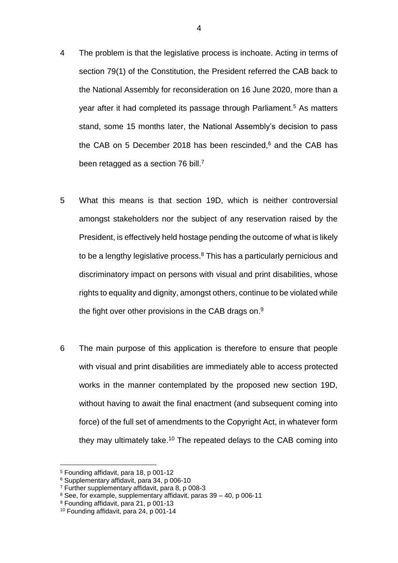- 4 The problem is that the legislative process is inchoate. Acting in terms of section 79(1) of the Constitution, the President referred the CAB back to the National Assembly for reconsideration on 16 June 2020, more than a year after it had completed its passage through Parliament.<sup>5</sup> As matters stand, some 15 months later, the National Assembly's decision to pass the CAB on 5 December 2018 has been rescinded, $6$  and the CAB has been retagged as a section 76 bill.<sup>7</sup>
- 5 What this means is that section 19D, which is neither controversial amongst stakeholders nor the subject of any reservation raised by the President, is effectively held hostage pending the outcome of what is likely to be a lengthy legislative process. $8$  This has a particularly pernicious and discriminatory impact on persons with visual and print disabilities, whose rights to equality and dignity, amongst others, continue to be violated while the fight over other provisions in the CAB drags on.<sup>9</sup>
- 6 The main purpose of this application is therefore to ensure that people with visual and print disabilities are immediately able to access protected works in the manner contemplated by the proposed new section 19D, without having to await the final enactment (and subsequent coming into force) of the full set of amendments to the Copyright Act, in whatever form they may ultimately take.<sup>10</sup> The repeated delays to the CAB coming into

<sup>5</sup> Founding affidavit, para 18, p 001-12

<sup>6</sup> Supplementary affidavit, para 34, p 006-10

<sup>7</sup> Further supplementary affidavit, para 8, p 008-3

 $8$  See, for example, supplementary affidavit, paras 39 – 40, p 006-11

<sup>9</sup> Founding affidavit, para 21, p 001-13

<sup>10</sup> Founding affidavit, para 24, p 001-14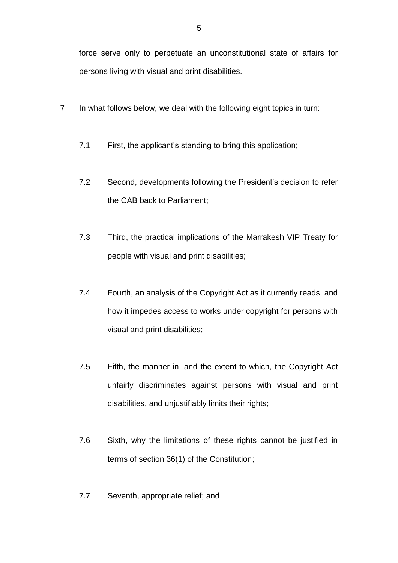force serve only to perpetuate an unconstitutional state of affairs for persons living with visual and print disabilities.

- 7 In what follows below, we deal with the following eight topics in turn:
	- 7.1 First, the applicant's standing to bring this application;
	- 7.2 Second, developments following the President's decision to refer the CAB back to Parliament;
	- 7.3 Third, the practical implications of the Marrakesh VIP Treaty for people with visual and print disabilities;
	- 7.4 Fourth, an analysis of the Copyright Act as it currently reads, and how it impedes access to works under copyright for persons with visual and print disabilities;
	- 7.5 Fifth, the manner in, and the extent to which, the Copyright Act unfairly discriminates against persons with visual and print disabilities, and unjustifiably limits their rights;
	- 7.6 Sixth, why the limitations of these rights cannot be justified in terms of section 36(1) of the Constitution;
	- 7.7 Seventh, appropriate relief; and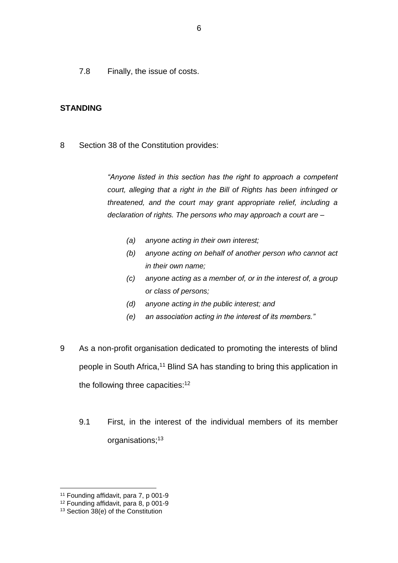7.8 Finally, the issue of costs.

## **STANDING**

8 Section 38 of the Constitution provides:

*"Anyone listed in this section has the right to approach a competent court, alleging that a right in the Bill of Rights has been infringed or threatened, and the court may grant appropriate relief, including a declaration of rights. The persons who may approach a court are –*

- *(a) anyone acting in their own interest;*
- *(b) anyone acting on behalf of another person who cannot act in their own name;*
- *(c) anyone acting as a member of, or in the interest of, a group or class of persons;*
- *(d) anyone acting in the public interest; and*
- *(e) an association acting in the interest of its members."*
- 9 As a non-profit organisation dedicated to promoting the interests of blind people in South Africa,<sup>11</sup> Blind SA has standing to bring this application in the following three capacities:<sup>12</sup>
	- 9.1 First, in the interest of the individual members of its member organisations; 13

<sup>11</sup> Founding affidavit, para 7, p 001-9

<sup>12</sup> Founding affidavit, para 8, p 001-9

<sup>13</sup> Section 38(e) of the Constitution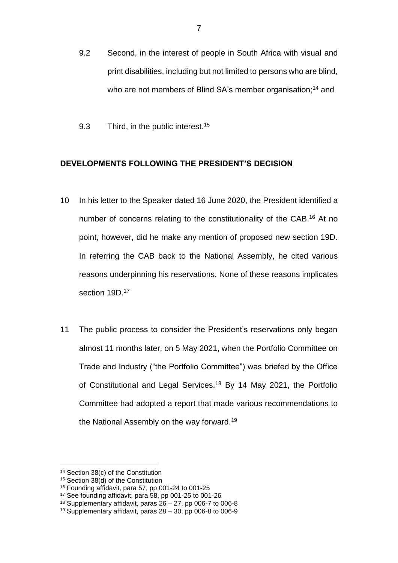- 9.2 Second, in the interest of people in South Africa with visual and print disabilities, including but not limited to persons who are blind, who are not members of Blind SA's member organisation;<sup>14</sup> and
- 9.3 Third, in the public interest.<sup>15</sup>

## **DEVELOPMENTS FOLLOWING THE PRESIDENT'S DECISION**

- 10 In his letter to the Speaker dated 16 June 2020, the President identified a number of concerns relating to the constitutionality of the CAB.<sup>16</sup> At no point, however, did he make any mention of proposed new section 19D. In referring the CAB back to the National Assembly, he cited various reasons underpinning his reservations. None of these reasons implicates section 19D.<sup>17</sup>
- 11 The public process to consider the President's reservations only began almost 11 months later, on 5 May 2021, when the Portfolio Committee on Trade and Industry ("the Portfolio Committee") was briefed by the Office of Constitutional and Legal Services.<sup>18</sup> By 14 May 2021, the Portfolio Committee had adopted a report that made various recommendations to the National Assembly on the way forward.<sup>19</sup>

<sup>14</sup> Section 38(c) of the Constitution

<sup>&</sup>lt;sup>15</sup> Section 38(d) of the Constitution

<sup>16</sup> Founding affidavit, para 57, pp 001-24 to 001-25

<sup>17</sup> See founding affidavit, para 58, pp 001-25 to 001-26

 $18$  Supplementary affidavit, paras  $26 - 27$ , pp 006-7 to 006-8

<sup>19</sup> Supplementary affidavit, paras 28 – 30, pp 006-8 to 006-9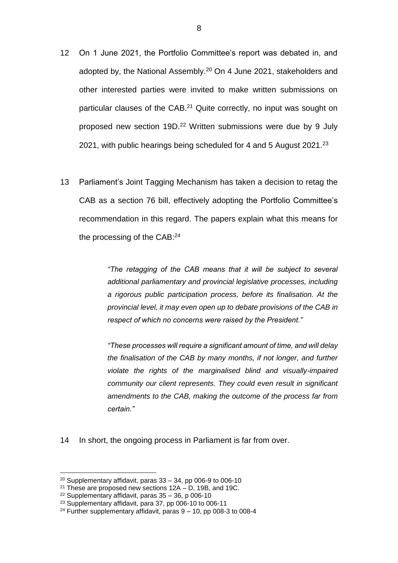- 12 On 1 June 2021, the Portfolio Committee's report was debated in, and adopted by, the National Assembly.<sup>20</sup> On 4 June 2021, stakeholders and other interested parties were invited to make written submissions on particular clauses of the CAB.<sup>21</sup> Quite correctly, no input was sought on proposed new section 19D.<sup>22</sup> Written submissions were due by 9 July 2021, with public hearings being scheduled for 4 and 5 August 2021.<sup>23</sup>
- 13 Parliament's Joint Tagging Mechanism has taken a decision to retag the CAB as a section 76 bill, effectively adopting the Portfolio Committee's recommendation in this regard. The papers explain what this means for the processing of the CAB:<sup>24</sup>

*"The retagging of the CAB means that it will be subject to several additional parliamentary and provincial legislative processes, including a rigorous public participation process, before its finalisation. At the provincial level, it may even open up to debate provisions of the CAB in respect of which no concerns were raised by the President."* 

*"These processes will require a significant amount of time, and will delay the finalisation of the CAB by many months, if not longer, and further violate the rights of the marginalised blind and visually-impaired community our client represents. They could even result in significant amendments to the CAB, making the outcome of the process far from certain."*

14 In short, the ongoing process in Parliament is far from over.

 $20$  Supplementary affidavit, paras  $33 - 34$ , pp 006-9 to 006-10

<sup>&</sup>lt;sup>21</sup> These are proposed new sections  $12A - D$ , 19B, and 19C.

 $22$  Supplementary affidavit, paras 35 – 36, p 006-10

<sup>&</sup>lt;sup>23</sup> Supplementary affidavit, para 37, pp 006-10 to 006-11

 $24$  Further supplementary affidavit, paras  $9 - 10$ , pp 008-3 to 008-4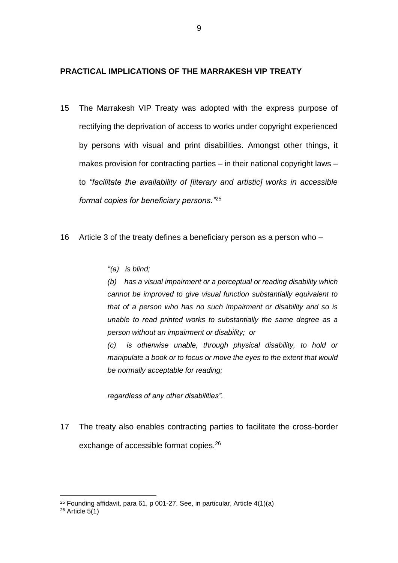#### **PRACTICAL IMPLICATIONS OF THE MARRAKESH VIP TREATY**

- 15 The Marrakesh VIP Treaty was adopted with the express purpose of rectifying the deprivation of access to works under copyright experienced by persons with visual and print disabilities. Amongst other things, it makes provision for contracting parties – in their national copyright laws – to *"facilitate the availability of [literary and artistic] works in accessible format copies for beneficiary persons."*<sup>25</sup>
- 16 Article 3 of the treaty defines a beneficiary person as a person who
	- *"(a) is blind;*

*(b) has a visual impairment or a perceptual or reading disability which cannot be improved to give visual function substantially equivalent to that of a person who has no such impairment or disability and so is unable to read printed works to substantially the same degree as a person without an impairment or disability; or* 

*(c) is otherwise unable, through physical disability, to hold or manipulate a book or to focus or move the eyes to the extent that would be normally acceptable for reading;* 

*regardless of any other disabilities".*

17 The treaty also enables contracting parties to facilitate the cross-border exchange of accessible format copies.<sup>26</sup>

<sup>25</sup> Founding affidavit, para 61, p 001-27. See, in particular, Article 4(1)(a)

 $26$  Article  $5(1)$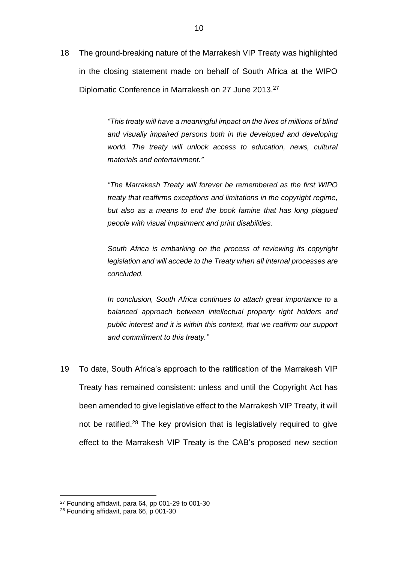18 The ground-breaking nature of the Marrakesh VIP Treaty was highlighted in the closing statement made on behalf of South Africa at the WIPO Diplomatic Conference in Marrakesh on 27 June 2013.<sup>27</sup>

> *"This treaty will have a meaningful impact on the lives of millions of blind and visually impaired persons both in the developed and developing world. The treaty will unlock access to education, news, cultural materials and entertainment."*

> *"The Marrakesh Treaty will forever be remembered as the first WIPO treaty that reaffirms exceptions and limitations in the copyright regime, but also as a means to end the book famine that has long plagued people with visual impairment and print disabilities.*

> *South Africa is embarking on the process of reviewing its copyright legislation and will accede to the Treaty when all internal processes are concluded.*

> *In conclusion, South Africa continues to attach great importance to a balanced approach between intellectual property right holders and public interest and it is within this context, that we reaffirm our support and commitment to this treaty."*

19 To date, South Africa's approach to the ratification of the Marrakesh VIP Treaty has remained consistent: unless and until the Copyright Act has been amended to give legislative effect to the Marrakesh VIP Treaty, it will not be ratified.<sup>28</sup> The key provision that is legislatively required to give effect to the Marrakesh VIP Treaty is the CAB's proposed new section

<sup>27</sup> Founding affidavit, para 64, pp 001-29 to 001-30

<sup>28</sup> Founding affidavit, para 66, p 001-30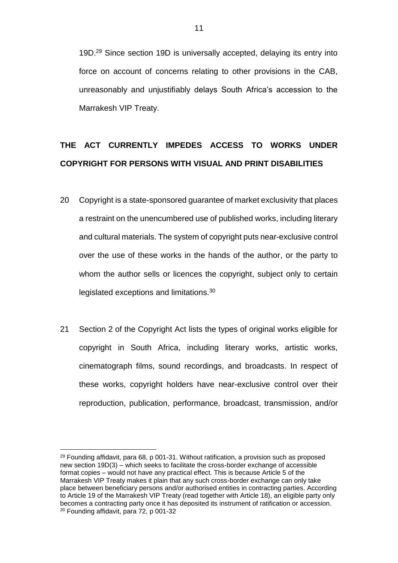19D.<sup>29</sup> Since section 19D is universally accepted, delaying its entry into force on account of concerns relating to other provisions in the CAB, unreasonably and unjustifiably delays South Africa's accession to the Marrakesh VIP Treaty.

# **THE ACT CURRENTLY IMPEDES ACCESS TO WORKS UNDER COPYRIGHT FOR PERSONS WITH VISUAL AND PRINT DISABILITIES**

- 20 Copyright is a state-sponsored guarantee of market exclusivity that places a restraint on the unencumbered use of published works, including literary and cultural materials. The system of copyright puts near-exclusive control over the use of these works in the hands of the author, or the party to whom the author sells or licences the copyright, subject only to certain legislated exceptions and limitations.<sup>30</sup>
- 21 Section 2 of the Copyright Act lists the types of original works eligible for copyright in South Africa, including literary works, artistic works, cinematograph films, sound recordings, and broadcasts. In respect of these works, copyright holders have near-exclusive control over their reproduction, publication, performance, broadcast, transmission, and/or

 $29$  Founding affidavit, para 68, p 001-31. Without ratification, a provision such as proposed new section 19D(3) – which seeks to facilitate the cross-border exchange of accessible format copies – would not have any practical effect. This is because Article 5 of the Marrakesh VIP Treaty makes it plain that any such cross-border exchange can only take place between beneficiary persons and/or authorised entities in contracting parties. According to Article 19 of the Marrakesh VIP Treaty (read together with Article 18), an eligible party only becomes a contracting party once it has deposited its instrument of ratification or accession. <sup>30</sup> Founding affidavit, para 72, p 001-32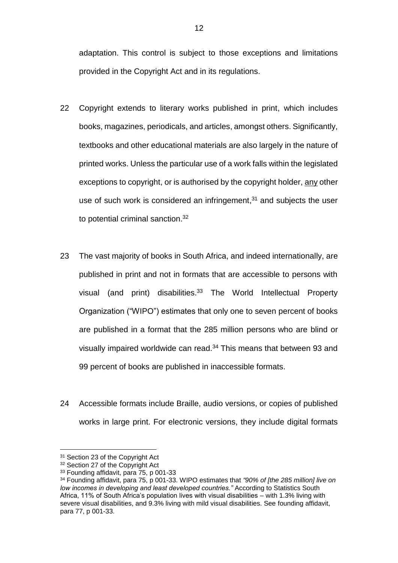adaptation. This control is subject to those exceptions and limitations provided in the Copyright Act and in its regulations.

- 22 Copyright extends to literary works published in print, which includes books, magazines, periodicals, and articles, amongst others. Significantly, textbooks and other educational materials are also largely in the nature of printed works. Unless the particular use of a work falls within the legislated exceptions to copyright, or is authorised by the copyright holder, any other use of such work is considered an infringement, $31$  and subjects the user to potential criminal sanction.<sup>32</sup>
- 23 The vast majority of books in South Africa, and indeed internationally, are published in print and not in formats that are accessible to persons with visual (and print) disabilities.<sup>33</sup> The World Intellectual Property Organization ("WIPO") estimates that only one to seven percent of books are published in a format that the 285 million persons who are blind or visually impaired worldwide can read.<sup>34</sup> This means that between 93 and 99 percent of books are published in inaccessible formats.
- 24 Accessible formats include Braille, audio versions, or copies of published works in large print. For electronic versions, they include digital formats

<sup>&</sup>lt;sup>31</sup> Section 23 of the Copyright Act

<sup>&</sup>lt;sup>32</sup> Section 27 of the Copyright Act

<sup>33</sup> Founding affidavit, para 75, p 001-33

<sup>34</sup> Founding affidavit, para 75, p 001-33. WIPO estimates that *"90% of [the 285 million] live on low incomes in developing and least developed countries."* According to Statistics South Africa, 11% of South Africa's population lives with visual disabilities – with 1.3% living with severe visual disabilities, and 9.3% living with mild visual disabilities. See founding affidavit, para 77, p 001-33.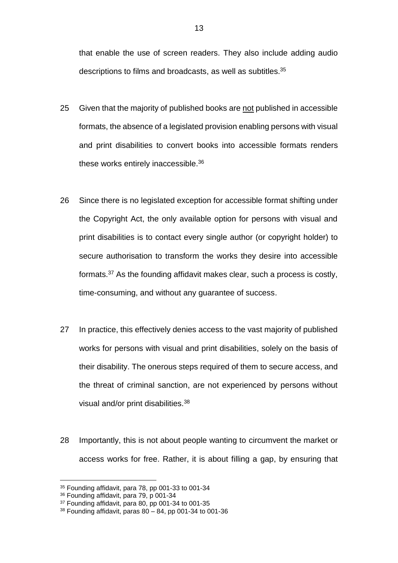that enable the use of screen readers. They also include adding audio descriptions to films and broadcasts, as well as subtitles.<sup>35</sup>

- 25 Given that the majority of published books are not published in accessible formats, the absence of a legislated provision enabling persons with visual and print disabilities to convert books into accessible formats renders these works entirely inaccessible.<sup>36</sup>
- 26 Since there is no legislated exception for accessible format shifting under the Copyright Act, the only available option for persons with visual and print disabilities is to contact every single author (or copyright holder) to secure authorisation to transform the works they desire into accessible formats.<sup>37</sup> As the founding affidavit makes clear, such a process is costly, time-consuming, and without any guarantee of success.
- 27 In practice, this effectively denies access to the vast majority of published works for persons with visual and print disabilities, solely on the basis of their disability. The onerous steps required of them to secure access, and the threat of criminal sanction, are not experienced by persons without visual and/or print disabilities.<sup>38</sup>
- 28 Importantly, this is not about people wanting to circumvent the market or access works for free. Rather, it is about filling a gap, by ensuring that

<sup>35</sup> Founding affidavit, para 78, pp 001-33 to 001-34

<sup>36</sup> Founding affidavit, para 79, p 001-34

<sup>&</sup>lt;sup>37</sup> Founding affidavit, para 80, pp 001-34 to 001-35

 $38$  Founding affidavit, paras  $80 - 84$ , pp 001-34 to 001-36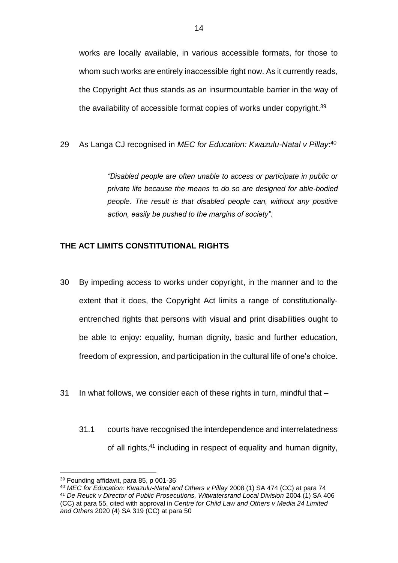works are locally available, in various accessible formats, for those to whom such works are entirely inaccessible right now. As it currently reads, the Copyright Act thus stands as an insurmountable barrier in the way of the availability of accessible format copies of works under copyright.<sup>39</sup>

29 As Langa CJ recognised in *MEC for Education: Kwazulu-Natal v Pillay*: 40

*"Disabled people are often unable to access or participate in public or private life because the means to do so are designed for able-bodied people. The result is that disabled people can, without any positive action, easily be pushed to the margins of society".*

#### **THE ACT LIMITS CONSTITUTIONAL RIGHTS**

- 30 By impeding access to works under copyright, in the manner and to the extent that it does, the Copyright Act limits a range of constitutionallyentrenched rights that persons with visual and print disabilities ought to be able to enjoy: equality, human dignity, basic and further education, freedom of expression, and participation in the cultural life of one's choice.
- 31 In what follows, we consider each of these rights in turn, mindful that
	- 31.1 courts have recognised the interdependence and interrelatedness of all rights,<sup>41</sup> including in respect of equality and human dignity,

<sup>39</sup> Founding affidavit, para 85, p 001-36

<sup>40</sup> *MEC for Education: Kwazulu-Natal and Others v Pillay* 2008 (1) SA 474 (CC) at para 74 <sup>41</sup> *De Reuck v Director of Public Prosecutions, Witwatersrand Local Division* 2004 (1) SA 406 (CC) at para 55, cited with approval in *Centre for Child Law and Others v Media 24 Limited and Others* 2020 (4) SA 319 (CC) at para 50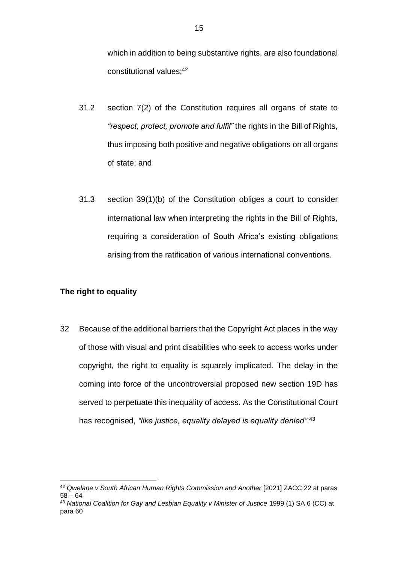which in addition to being substantive rights, are also foundational constitutional values; 42

- 31.2 section 7(2) of the Constitution requires all organs of state to *"respect, protect, promote and fulfil"* the rights in the Bill of Rights, thus imposing both positive and negative obligations on all organs of state; and
- 31.3 section 39(1)(b) of the Constitution obliges a court to consider international law when interpreting the rights in the Bill of Rights, requiring a consideration of South Africa's existing obligations arising from the ratification of various international conventions.

## **The right to equality**

<u>.</u>

32 Because of the additional barriers that the Copyright Act places in the way of those with visual and print disabilities who seek to access works under copyright, the right to equality is squarely implicated. The delay in the coming into force of the uncontroversial proposed new section 19D has served to perpetuate this inequality of access. As the Constitutional Court has recognised, *"like justice, equality delayed is equality denied"*. 43

<sup>42</sup> *Qwelane v South African Human Rights Commission and Another* [2021] ZACC 22 at paras 58 – 64

<sup>43</sup> *National Coalition for Gay and Lesbian Equality v Minister of Justice* 1999 (1) SA 6 (CC) at para 60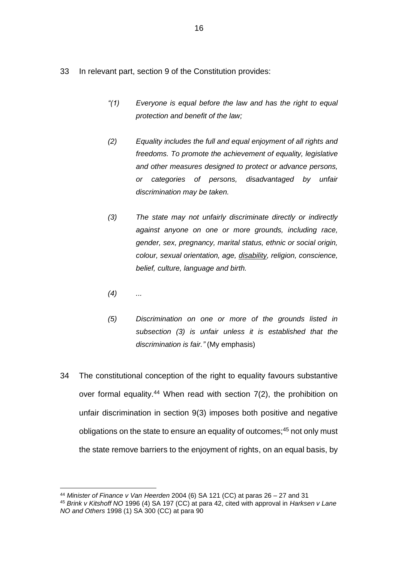- 33 In relevant part, section 9 of the Constitution provides:
	- *"(1) Everyone is equal before the law and has the right to equal protection and benefit of the law;*
	- *(2) Equality includes the full and equal enjoyment of all rights and freedoms. To promote the achievement of equality, legislative and other measures designed to protect or advance persons, or categories of persons, disadvantaged by unfair discrimination may be taken.*
	- *(3) The state may not unfairly discriminate directly or indirectly against anyone on one or more grounds, including race, gender, sex, pregnancy, marital status, ethnic or social origin, colour, sexual orientation, age, disability, religion, conscience, belief, culture, language and birth.*
	- *(4) ...*

- *(5) Discrimination on one or more of the grounds listed in subsection (3) is unfair unless it is established that the discrimination is fair."* (My emphasis)
- 34 The constitutional conception of the right to equality favours substantive over formal equality.<sup>44</sup> When read with section 7(2), the prohibition on unfair discrimination in section 9(3) imposes both positive and negative obligations on the state to ensure an equality of outcomes;<sup>45</sup> not only must the state remove barriers to the enjoyment of rights, on an equal basis, by

<sup>44</sup> *Minister of Finance v Van Heerden* 2004 (6) SA 121 (CC) at paras 26 – 27 and 31

<sup>45</sup> *Brink v Kitshoff NO* 1996 (4) SA 197 (CC) at para 42, cited with approval in *Harksen v Lane NO and Others* 1998 (1) SA 300 (CC) at para 90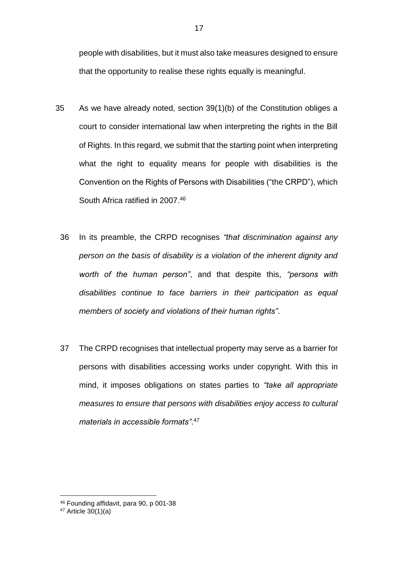people with disabilities, but it must also take measures designed to ensure that the opportunity to realise these rights equally is meaningful.

- 35 As we have already noted, section 39(1)(b) of the Constitution obliges a court to consider international law when interpreting the rights in the Bill of Rights. In this regard, we submit that the starting point when interpreting what the right to equality means for people with disabilities is the Convention on the Rights of Persons with Disabilities ("the CRPD"), which South Africa ratified in 2007. 46
	- 36 In its preamble, the CRPD recognises *"that discrimination against any person on the basis of disability is a violation of the inherent dignity and worth of the human person"*, and that despite this, *"persons with disabilities continue to face barriers in their participation as equal members of society and violations of their human rights"*.
	- 37 The CRPD recognises that intellectual property may serve as a barrier for persons with disabilities accessing works under copyright. With this in mind, it imposes obligations on states parties to *"take all appropriate measures to ensure that persons with disabilities enjoy access to cultural materials in accessible formats"*. 47

<sup>46</sup> Founding affidavit, para 90, p 001-38

 $47$  Article  $30(1)(a)$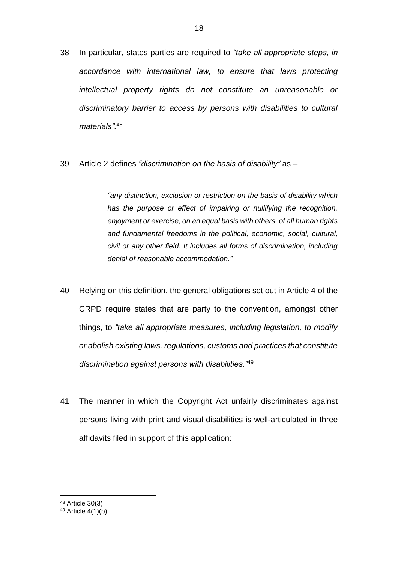- 38 In particular, states parties are required to *"take all appropriate steps, in accordance with international law, to ensure that laws protecting intellectual property rights do not constitute an unreasonable or discriminatory barrier to access by persons with disabilities to cultural materials".*<sup>48</sup>
- 39 Article 2 defines *"discrimination on the basis of disability"* as –

*"any distinction, exclusion or restriction on the basis of disability which has the purpose or effect of impairing or nullifying the recognition, enjoyment or exercise, on an equal basis with others, of all human rights and fundamental freedoms in the political, economic, social, cultural, civil or any other field. It includes all forms of discrimination, including denial of reasonable accommodation."*

- 40 Relying on this definition, the general obligations set out in Article 4 of the CRPD require states that are party to the convention, amongst other things, to *"take all appropriate measures, including legislation, to modify or abolish existing laws, regulations, customs and practices that constitute discrimination against persons with disabilities."*<sup>49</sup>
- 41 The manner in which the Copyright Act unfairly discriminates against persons living with print and visual disabilities is well-articulated in three affidavits filed in support of this application:

<sup>48</sup> Article 30(3)

 $49$  Article  $4(1)(b)$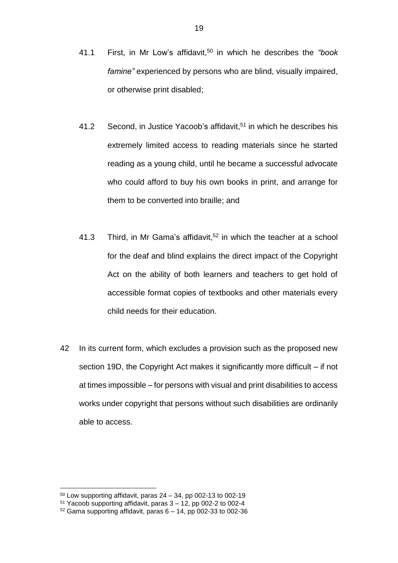- 41.1 First, in Mr Low's affidavit, <sup>50</sup> in which he describes the *"book famine"* experienced by persons who are blind, visually impaired, or otherwise print disabled;
- 41.2 Second, in Justice Yacoob's affidavit, <sup>51</sup> in which he describes his extremely limited access to reading materials since he started reading as a young child, until he became a successful advocate who could afford to buy his own books in print, and arrange for them to be converted into braille; and
- 41.3 Third, in Mr Gama's affidavit, <sup>52</sup> in which the teacher at a school for the deaf and blind explains the direct impact of the Copyright Act on the ability of both learners and teachers to get hold of accessible format copies of textbooks and other materials every child needs for their education.
- 42 In its current form, which excludes a provision such as the proposed new section 19D, the Copyright Act makes it significantly more difficult – if not at times impossible – for persons with visual and print disabilities to access works under copyright that persons without such disabilities are ordinarily able to access.

 $50$  Low supporting affidavit, paras  $24 - 34$ , pp 002-13 to 002-19

 $51$  Yacoob supporting affidavit, paras  $3 - 12$ , pp 002-2 to 002-4

 $52$  Gama supporting affidavit, paras  $6 - 14$ , pp 002-33 to 002-36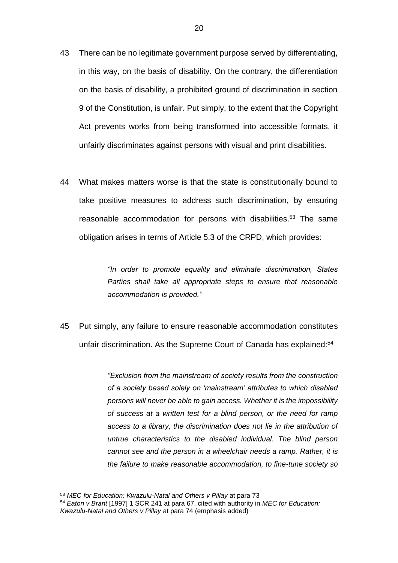- 43 There can be no legitimate government purpose served by differentiating, in this way, on the basis of disability. On the contrary, the differentiation on the basis of disability, a prohibited ground of discrimination in section 9 of the Constitution, is unfair. Put simply, to the extent that the Copyright Act prevents works from being transformed into accessible formats, it unfairly discriminates against persons with visual and print disabilities.
- 44 What makes matters worse is that the state is constitutionally bound to take positive measures to address such discrimination, by ensuring reasonable accommodation for persons with disabilities.<sup>53</sup> The same obligation arises in terms of Article 5.3 of the CRPD, which provides:

*"In order to promote equality and eliminate discrimination, States Parties shall take all appropriate steps to ensure that reasonable accommodation is provided."*

45 Put simply, any failure to ensure reasonable accommodation constitutes unfair discrimination. As the Supreme Court of Canada has explained:<sup>54</sup>

> *"Exclusion from the mainstream of society results from the construction of a society based solely on 'mainstream' attributes to which disabled persons will never be able to gain access. Whether it is the impossibility of success at a written test for a blind person, or the need for ramp access to a library, the discrimination does not lie in the attribution of untrue characteristics to the disabled individual. The blind person cannot see and the person in a wheelchair needs a ramp. Rather, it is the failure to make reasonable accommodation, to fine-tune society so*

<sup>53</sup> *MEC for Education: Kwazulu-Natal and Others v Pillay* at para 73

<sup>54</sup> *Eaton v Brant* [1997] 1 SCR 241 at para 67, cited with authority in *MEC for Education: Kwazulu-Natal and Others v Pillay* at para 74 (emphasis added)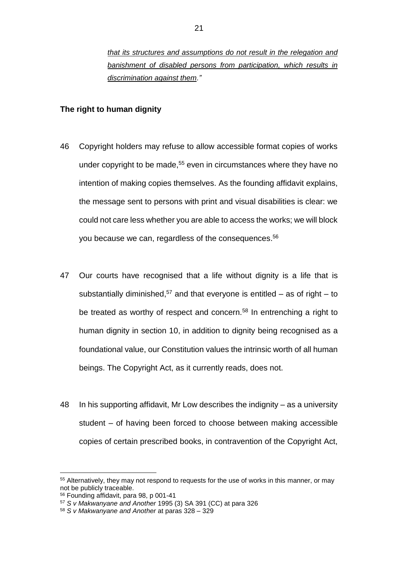*that its structures and assumptions do not result in the relegation and banishment of disabled persons from participation, which results in discrimination against them."*

#### **The right to human dignity**

- 46 Copyright holders may refuse to allow accessible format copies of works under copyright to be made,<sup>55</sup> even in circumstances where they have no intention of making copies themselves. As the founding affidavit explains, the message sent to persons with print and visual disabilities is clear: we could not care less whether you are able to access the works; we will block you because we can, regardless of the consequences.<sup>56</sup>
- 47 Our courts have recognised that a life without dignity is a life that is substantially diminished,<sup>57</sup> and that everyone is entitled  $-$  as of right  $-$  to be treated as worthy of respect and concern.<sup>58</sup> In entrenching a right to human dignity in section 10, in addition to dignity being recognised as a foundational value, our Constitution values the intrinsic worth of all human beings. The Copyright Act, as it currently reads, does not.
- 48 In his supporting affidavit, Mr Low describes the indignity as a university student – of having been forced to choose between making accessible copies of certain prescribed books, in contravention of the Copyright Act,

<sup>&</sup>lt;sup>55</sup> Alternatively, they may not respond to requests for the use of works in this manner, or may not be publicly traceable.

<sup>56</sup> Founding affidavit, para 98, p 001-41

<sup>57</sup> *S v Makwanyane and Another* 1995 (3) SA 391 (CC) at para 326

<sup>58</sup> *S v Makwanyane and Another* at paras 328 – 329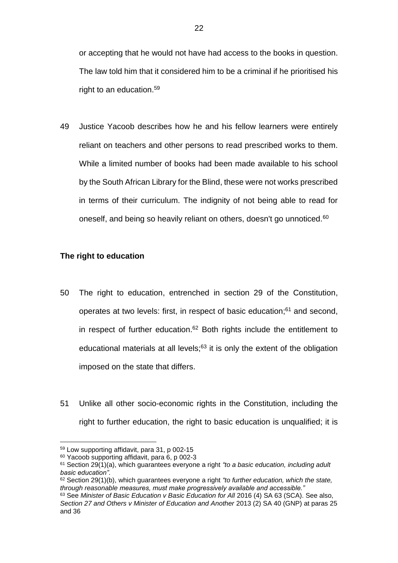or accepting that he would not have had access to the books in question. The law told him that it considered him to be a criminal if he prioritised his right to an education.<sup>59</sup>

49 Justice Yacoob describes how he and his fellow learners were entirely reliant on teachers and other persons to read prescribed works to them. While a limited number of books had been made available to his school by the South African Library for the Blind, these were not works prescribed in terms of their curriculum. The indignity of not being able to read for oneself, and being so heavily reliant on others, doesn't go unnoticed.<sup>60</sup>

## **The right to education**

- 50 The right to education, entrenched in section 29 of the Constitution, operates at two levels: first, in respect of basic education; <sup>61</sup> and second, in respect of further education. $62$  Both rights include the entitlement to educational materials at all levels;<sup>63</sup> it is only the extent of the obligation imposed on the state that differs.
- 51 Unlike all other socio-economic rights in the Constitution, including the right to further education, the right to basic education is unqualified; it is

<sup>59</sup> Low supporting affidavit, para 31, p 002-15

<sup>60</sup> Yacoob supporting affidavit, para 6, p 002-3

<sup>61</sup> Section 29(1)(a), which guarantees everyone a right *"to a basic education, including adult basic education"*.

<sup>62</sup> Section 29(1)(b), which guarantees everyone a right *"to further education, which the state, through reasonable measures, must make progressively available and accessible."*

<sup>&</sup>lt;sup>63</sup> See *Minister of Basic Education v Basic Education for All 2016 (4) SA 63 (SCA). See also,* Section 27 and Others v Minister of Education and Another 2013 (2) SA 40 (GNP) at paras 25 and 36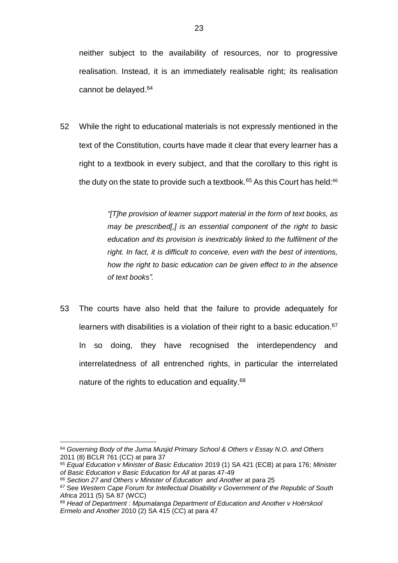52 While the right to educational materials is not expressly mentioned in the text of the Constitution, courts have made it clear that every learner has a right to a textbook in every subject, and that the corollary to this right is the duty on the state to provide such a textbook.<sup>65</sup> As this Court has held: $66$ 

> *"[T]he provision of learner support material in the form of text books, as may be prescribed[,] is an essential component of the right to basic education and its provision is inextricably linked to the fulfilment of the right. In fact, it is difficult to conceive, even with the best of intentions, how the right to basic education can be given effect to in the absence of text books".*

53 The courts have also held that the failure to provide adequately for learners with disabilities is a violation of their right to a basic education.<sup>67</sup> In so doing, they have recognised the interdependency and interrelatedness of all entrenched rights, in particular the interrelated nature of the rights to education and equality.<sup>68</sup>

<sup>1</sup> <sup>64</sup> *Governing Body of the Juma Musjid Primary School & Others v Essay N.O. and Others* 2011 (8) BCLR 761 (CC) at para 37

<sup>65</sup> *Equal Education v Minister of Basic Education* 2019 (1) SA 421 (ECB) at para 176; *Minister*  of Basic Education v Basic Education for All at paras 47-49

<sup>66</sup> *Section 27 and Others v Minister of Education and Another* at para 25

<sup>67</sup> See *Western Cape Forum for Intellectual Disability v Government of the Republic of South Africa* 2011 (5) SA 87 (WCC)

<sup>68</sup> *Head of Department : Mpumalanga Department of Education and Another v Hoërskool Ermelo and Another* 2010 (2) SA 415 (CC) at para 47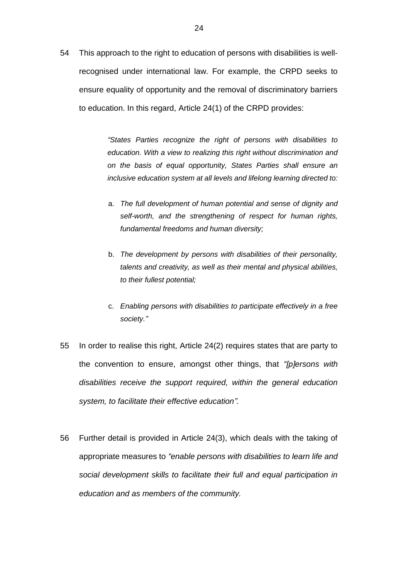54 This approach to the right to education of persons with disabilities is wellrecognised under international law. For example, the CRPD seeks to ensure equality of opportunity and the removal of discriminatory barriers to education. In this regard, Article 24(1) of the CRPD provides:

> *"States Parties recognize the right of persons with disabilities to education. With a view to realizing this right without discrimination and on the basis of equal opportunity, States Parties shall ensure an inclusive education system at all levels and lifelong learning directed to:*

- a. *The full development of human potential and sense of dignity and self-worth, and the strengthening of respect for human rights, fundamental freedoms and human diversity;*
- b. *The development by persons with disabilities of their personality, talents and creativity, as well as their mental and physical abilities, to their fullest potential;*
- c. *Enabling persons with disabilities to participate effectively in a free society."*
- 55 In order to realise this right, Article 24(2) requires states that are party to the convention to ensure, amongst other things, that *"[p]ersons with disabilities receive the support required, within the general education system, to facilitate their effective education".*
- 56 Further detail is provided in Article 24(3), which deals with the taking of appropriate measures to *"enable persons with disabilities to learn life and social development skills to facilitate their full and equal participation in education and as members of the community.*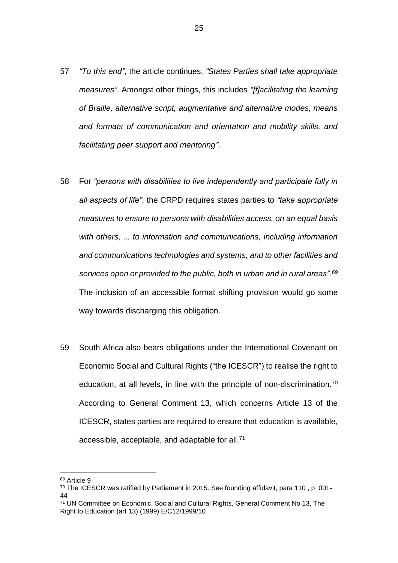- 57 *"To this end"*, the article continues, *"States Parties shall take appropriate measures"*. Amongst other things, this includes *"[f]acilitating the learning of Braille, alternative script, augmentative and alternative modes, means and formats of communication and orientation and mobility skills, and facilitating peer support and mentoring"*.
- 58 For *"persons with disabilities to live independently and participate fully in all aspects of life"*, the CRPD requires states parties to *"take appropriate measures to ensure to persons with disabilities access, on an equal basis with others, ... to information and communications, including information and communications technologies and systems, and to other facilities and services open or provided to the public, both in urban and in rural areas".<sup>69</sup>* The inclusion of an accessible format shifting provision would go some way towards discharging this obligation.
- 59 South Africa also bears obligations under the International Covenant on Economic Social and Cultural Rights ("the ICESCR") to realise the right to education, at all levels, in line with the principle of non-discrimination.<sup>70</sup> According to General Comment 13, which concerns Article 13 of the ICESCR, states parties are required to ensure that education is available, accessible, acceptable, and adaptable for all.<sup>71</sup>

<sup>69</sup> Article 9

<sup>70</sup> The ICESCR was ratified by Parliament in 2015. See founding affidavit, para 110 , p 001-  $\overline{A}A$ 

<sup>71</sup> UN Committee on Economic, Social and Cultural Rights, General Comment No 13, The Right to Education (art 13) (1999) E/C12/1999/10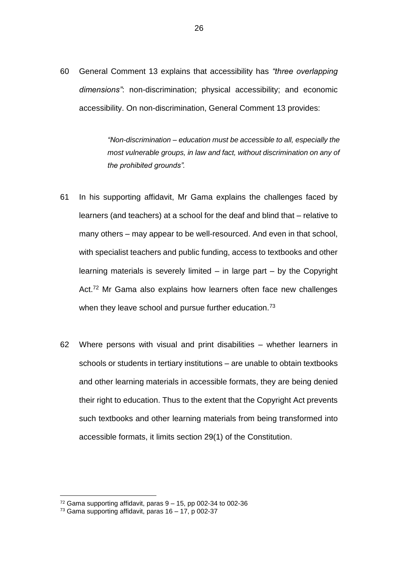60 General Comment 13 explains that accessibility has *"three overlapping dimensions"*: non-discrimination; physical accessibility; and economic accessibility. On non-discrimination, General Comment 13 provides:

> *"Non-discrimination – education must be accessible to all, especially the most vulnerable groups, in law and fact, without discrimination on any of the prohibited grounds".*

- 61 In his supporting affidavit, Mr Gama explains the challenges faced by learners (and teachers) at a school for the deaf and blind that – relative to many others – may appear to be well-resourced. And even in that school, with specialist teachers and public funding, access to textbooks and other learning materials is severely limited – in large part – by the Copyright Act.<sup>72</sup> Mr Gama also explains how learners often face new challenges when they leave school and pursue further education.<sup>73</sup>
- 62 Where persons with visual and print disabilities whether learners in schools or students in tertiary institutions – are unable to obtain textbooks and other learning materials in accessible formats, they are being denied their right to education. Thus to the extent that the Copyright Act prevents such textbooks and other learning materials from being transformed into accessible formats, it limits section 29(1) of the Constitution.

 $72$  Gama supporting affidavit, paras  $9 - 15$ , pp 002-34 to 002-36

<sup>73</sup> Gama supporting affidavit, paras 16 – 17, p 002-37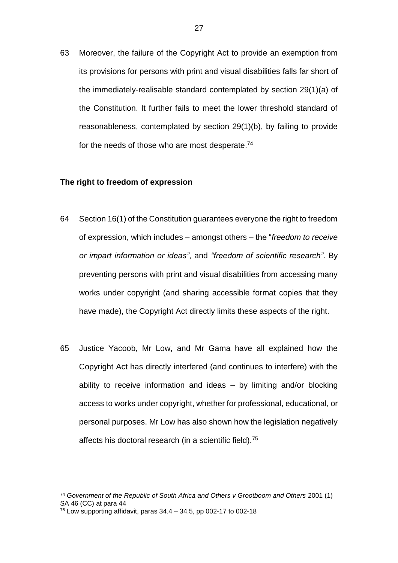63 Moreover, the failure of the Copyright Act to provide an exemption from its provisions for persons with print and visual disabilities falls far short of the immediately-realisable standard contemplated by section 29(1)(a) of the Constitution. It further fails to meet the lower threshold standard of reasonableness, contemplated by section 29(1)(b), by failing to provide for the needs of those who are most desperate.<sup>74</sup>

#### **The right to freedom of expression**

- 64 Section 16(1) of the Constitution guarantees everyone the right to freedom of expression, which includes – amongst others – the "*freedom to receive or impart information or ideas"*, and *"freedom of scientific research"*. By preventing persons with print and visual disabilities from accessing many works under copyright (and sharing accessible format copies that they have made), the Copyright Act directly limits these aspects of the right.
- 65 Justice Yacoob, Mr Low, and Mr Gama have all explained how the Copyright Act has directly interfered (and continues to interfere) with the ability to receive information and ideas – by limiting and/or blocking access to works under copyright, whether for professional, educational, or personal purposes. Mr Low has also shown how the legislation negatively affects his doctoral research (in a scientific field).<sup>75</sup>

<sup>74</sup> *Government of the Republic of South Africa and Others v Grootboom and Others* 2001 (1) SA 46 (CC) at para 44

 $75$  Low supporting affidavit, paras 34.4 – 34.5, pp 002-17 to 002-18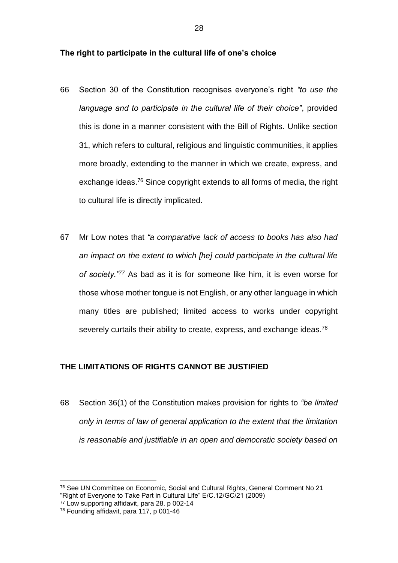#### **The right to participate in the cultural life of one's choice**

- 66 Section 30 of the Constitution recognises everyone's right *"to use the language and to participate in the cultural life of their choice"*, provided this is done in a manner consistent with the Bill of Rights. Unlike section 31, which refers to cultural, religious and linguistic communities, it applies more broadly, extending to the manner in which we create, express, and exchange ideas.<sup>76</sup> Since copyright extends to all forms of media, the right to cultural life is directly implicated.
- 67 Mr Low notes that *"a comparative lack of access to books has also had an impact on the extent to which [he] could participate in the cultural life of society."<sup>77</sup>* As bad as it is for someone like him, it is even worse for those whose mother tongue is not English, or any other language in which many titles are published; limited access to works under copyright severely curtails their ability to create, express, and exchange ideas.<sup>78</sup>

#### **THE LIMITATIONS OF RIGHTS CANNOT BE JUSTIFIED**

68 Section 36(1) of the Constitution makes provision for rights to *"be limited only in terms of law of general application to the extent that the limitation is reasonable and justifiable in an open and democratic society based on* 

<sup>76</sup> See UN Committee on Economic, Social and Cultural Rights, General Comment No 21 "Right of Everyone to Take Part in Cultural Life" E/C.12/GC/21 (2009)

<sup>77</sup> Low supporting affidavit, para 28, p 002-14

<sup>78</sup> Founding affidavit, para 117, p 001-46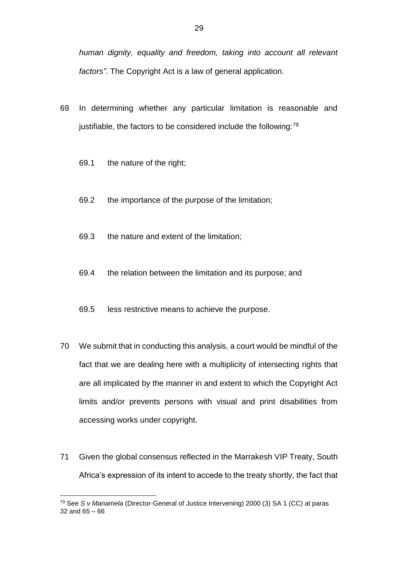*human dignity, equality and freedom, taking into account all relevant factors"*. The Copyright Act is a law of general application.

- 69 In determining whether any particular limitation is reasonable and justifiable, the factors to be considered include the following:<sup>79</sup>
	- 69.1 the nature of the right;
	- 69.2 the importance of the purpose of the limitation;
	- 69.3 the nature and extent of the limitation;
	- 69.4 the relation between the limitation and its purpose; and
	- 69.5 less restrictive means to achieve the purpose.
- 70 We submit that in conducting this analysis, a court would be mindful of the fact that we are dealing here with a multiplicity of intersecting rights that are all implicated by the manner in and extent to which the Copyright Act limits and/or prevents persons with visual and print disabilities from accessing works under copyright.
- 71 Given the global consensus reflected in the Marrakesh VIP Treaty, South Africa's expression of its intent to accede to the treaty shortly, the fact that

<sup>79</sup> See *S v Manamela* (Director-General of Justice Intervening) 2000 (3) SA 1 (CC) at paras 32 and 65 – 66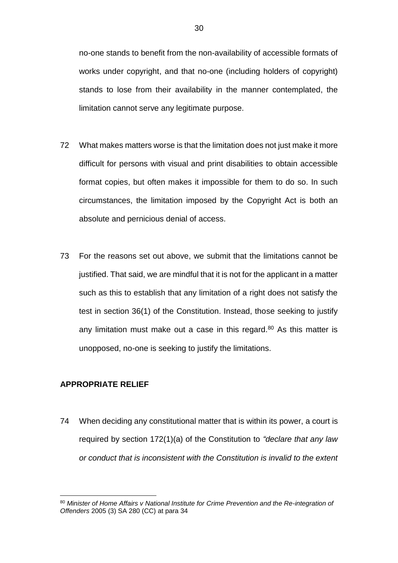no-one stands to benefit from the non-availability of accessible formats of works under copyright, and that no-one (including holders of copyright) stands to lose from their availability in the manner contemplated, the limitation cannot serve any legitimate purpose.

- 72 What makes matters worse is that the limitation does not just make it more difficult for persons with visual and print disabilities to obtain accessible format copies, but often makes it impossible for them to do so. In such circumstances, the limitation imposed by the Copyright Act is both an absolute and pernicious denial of access.
- 73 For the reasons set out above, we submit that the limitations cannot be justified. That said, we are mindful that it is not for the applicant in a matter such as this to establish that any limitation of a right does not satisfy the test in section 36(1) of the Constitution. Instead, those seeking to justify any limitation must make out a case in this regard. $80$  As this matter is unopposed, no-one is seeking to justify the limitations.

## **APPROPRIATE RELIEF**

1

74 When deciding any constitutional matter that is within its power, a court is required by section 172(1)(a) of the Constitution to *"declare that any law or conduct that is inconsistent with the Constitution is invalid to the extent* 

<sup>80</sup> Minister of Home Affairs v National Institute for Crime Prevention and the Re-integration of *Offenders* 2005 (3) SA 280 (CC) at para 34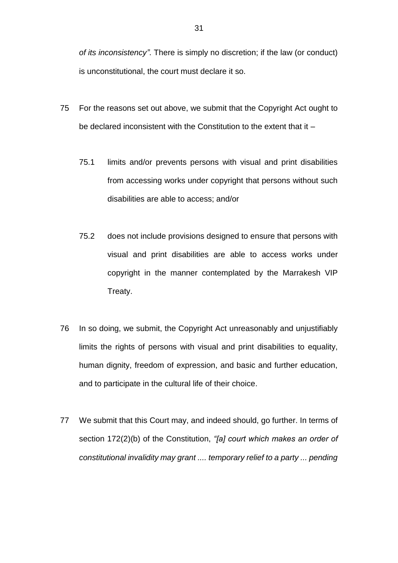*of its inconsistency"*. There is simply no discretion; if the law (or conduct) is unconstitutional, the court must declare it so.

- 75 For the reasons set out above, we submit that the Copyright Act ought to be declared inconsistent with the Constitution to the extent that it –
	- 75.1 limits and/or prevents persons with visual and print disabilities from accessing works under copyright that persons without such disabilities are able to access; and/or
	- 75.2 does not include provisions designed to ensure that persons with visual and print disabilities are able to access works under copyright in the manner contemplated by the Marrakesh VIP Treaty.
- 76 In so doing, we submit, the Copyright Act unreasonably and unjustifiably limits the rights of persons with visual and print disabilities to equality, human dignity, freedom of expression, and basic and further education, and to participate in the cultural life of their choice.
- 77 We submit that this Court may, and indeed should, go further. In terms of section 172(2)(b) of the Constitution, *"[a] court which makes an order of constitutional invalidity may grant .... temporary relief to a party ... pending*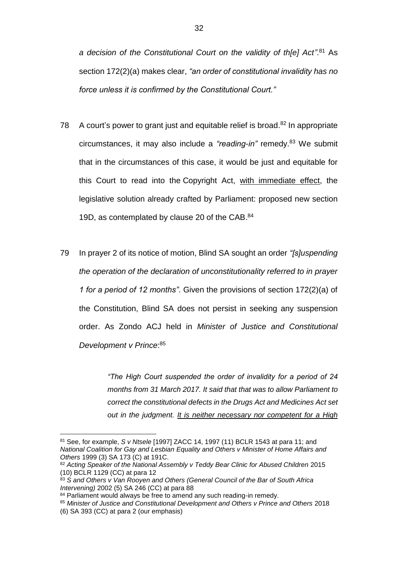a decision of the Constitutional Court on the validity of th[e] Act".<sup>81</sup> As section 172(2)(a) makes clear, *"an order of constitutional invalidity has no force unless it is confirmed by the Constitutional Court."*

- 78 A court's power to grant just and equitable relief is broad.<sup>82</sup> In appropriate circumstances, it may also include a *"reading-in"* remedy.<sup>83</sup> We submit that in the circumstances of this case, it would be just and equitable for this Court to read into the Copyright Act, with immediate effect, the legislative solution already crafted by Parliament: proposed new section 19D, as contemplated by clause 20 of the CAB.<sup>84</sup>
- 79 In prayer 2 of its notice of motion, Blind SA sought an order *"[s]uspending the operation of the declaration of unconstitutionality referred to in prayer 1 for a period of 12 months"*. Given the provisions of section 172(2)(a) of the Constitution, Blind SA does not persist in seeking any suspension order. As Zondo ACJ held in *Minister of Justice and Constitutional Development v Prince*: 85

*"The High Court suspended the order of invalidity for a period of 24 months from 31 March 2017. It said that that was to allow Parliament to correct the constitutional defects in the Drugs Act and Medicines Act set out in the judgment. It is neither necessary nor competent for a High* 

<sup>81</sup> See, for example, *S v Ntsele* [1997] ZACC 14, 1997 (11) BCLR 1543 at para 11; and *National Coalition for Gay and Lesbian Equality and Others v Minister of Home Affairs and Others* 1999 (3) SA 173 (C) at 191C.

<sup>82</sup> *Acting Speaker of the National Assembly v Teddy Bear Clinic for Abused Children* 2015 (10) BCLR 1129 (CC) at para 12

<sup>83</sup> *S and Others v Van Rooyen and Others (General Council of the Bar of South Africa Intervening)* 2002 (5) SA 246 (CC) at para 88

<sup>84</sup> Parliament would always be free to amend any such reading-in remedy.

<sup>85</sup> *Minister of Justice and Constitutional Development and Others v Prince and Others* 2018 (6) SA 393 (CC) at para 2 (our emphasis)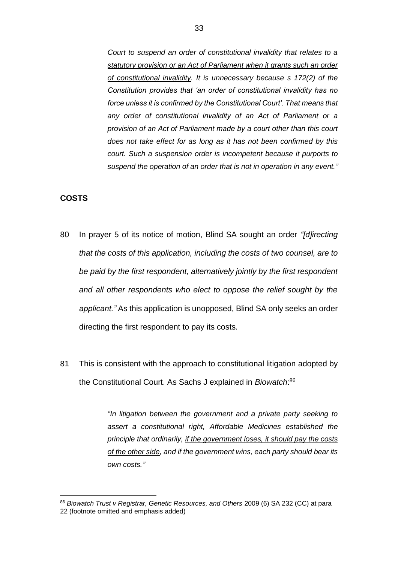*Court to suspend an order of constitutional invalidity that relates to a statutory provision or an Act of Parliament when it grants such an order of constitutional invalidity. It is unnecessary because s 172(2) of the Constitution provides that 'an order of constitutional invalidity has no force unless it is confirmed by the Constitutional Court'. That means that any order of constitutional invalidity of an Act of Parliament or a provision of an Act of Parliament made by a court other than this court does not take effect for as long as it has not been confirmed by this court. Such a suspension order is incompetent because it purports to suspend the operation of an order that is not in operation in any event."*

#### **COSTS**

1

- 80 In prayer 5 of its notice of motion, Blind SA sought an order *"[d]irecting that the costs of this application, including the costs of two counsel, are to be paid by the first respondent, alternatively jointly by the first respondent and all other respondents who elect to oppose the relief sought by the applicant."* As this application is unopposed, Blind SA only seeks an order directing the first respondent to pay its costs.
- 81 This is consistent with the approach to constitutional litigation adopted by the Constitutional Court. As Sachs J explained in *Biowatch*: 86

*"In litigation between the government and a private party seeking to assert a constitutional right, Affordable Medicines established the principle that ordinarily, if the government loses, it should pay the costs of the other side, and if the government wins, each party should bear its own costs."*

<sup>86</sup> *Biowatch Trust v Registrar, Genetic Resources, and Others* 2009 (6) SA 232 (CC) at para 22 (footnote omitted and emphasis added)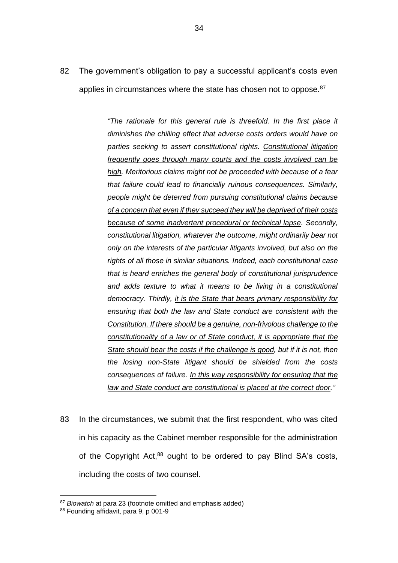82 The government's obligation to pay a successful applicant's costs even applies in circumstances where the state has chosen not to oppose.<sup>87</sup>

> *"The rationale for this general rule is threefold. In the first place it diminishes the chilling effect that adverse costs orders would have on parties seeking to assert constitutional rights. Constitutional litigation frequently goes through many courts and the costs involved can be high. Meritorious claims might not be proceeded with because of a fear that failure could lead to financially ruinous consequences. Similarly, people might be deterred from pursuing constitutional claims because of a concern that even if they succeed they will be deprived of their costs because of some inadvertent procedural or technical lapse. Secondly, constitutional litigation, whatever the outcome, might ordinarily bear not only on the interests of the particular litigants involved, but also on the rights of all those in similar situations. Indeed, each constitutional case that is heard enriches the general body of constitutional jurisprudence and adds texture to what it means to be living in a constitutional democracy. Thirdly, it is the State that bears primary responsibility for ensuring that both the law and State conduct are consistent with the Constitution. If there should be a genuine, non-frivolous challenge to the constitutionality of a law or of State conduct, it is appropriate that the State should bear the costs if the challenge is good, but if it is not, then the losing non-State litigant should be shielded from the costs consequences of failure. In this way responsibility for ensuring that the law and State conduct are constitutional is placed at the correct door."*

83 In the circumstances, we submit that the first respondent, who was cited in his capacity as the Cabinet member responsible for the administration of the Copyright Act, $88$  ought to be ordered to pay Blind SA's costs, including the costs of two counsel.

<sup>87</sup> *Biowatch* at para 23 (footnote omitted and emphasis added)

<sup>88</sup> Founding affidavit, para 9, p 001-9